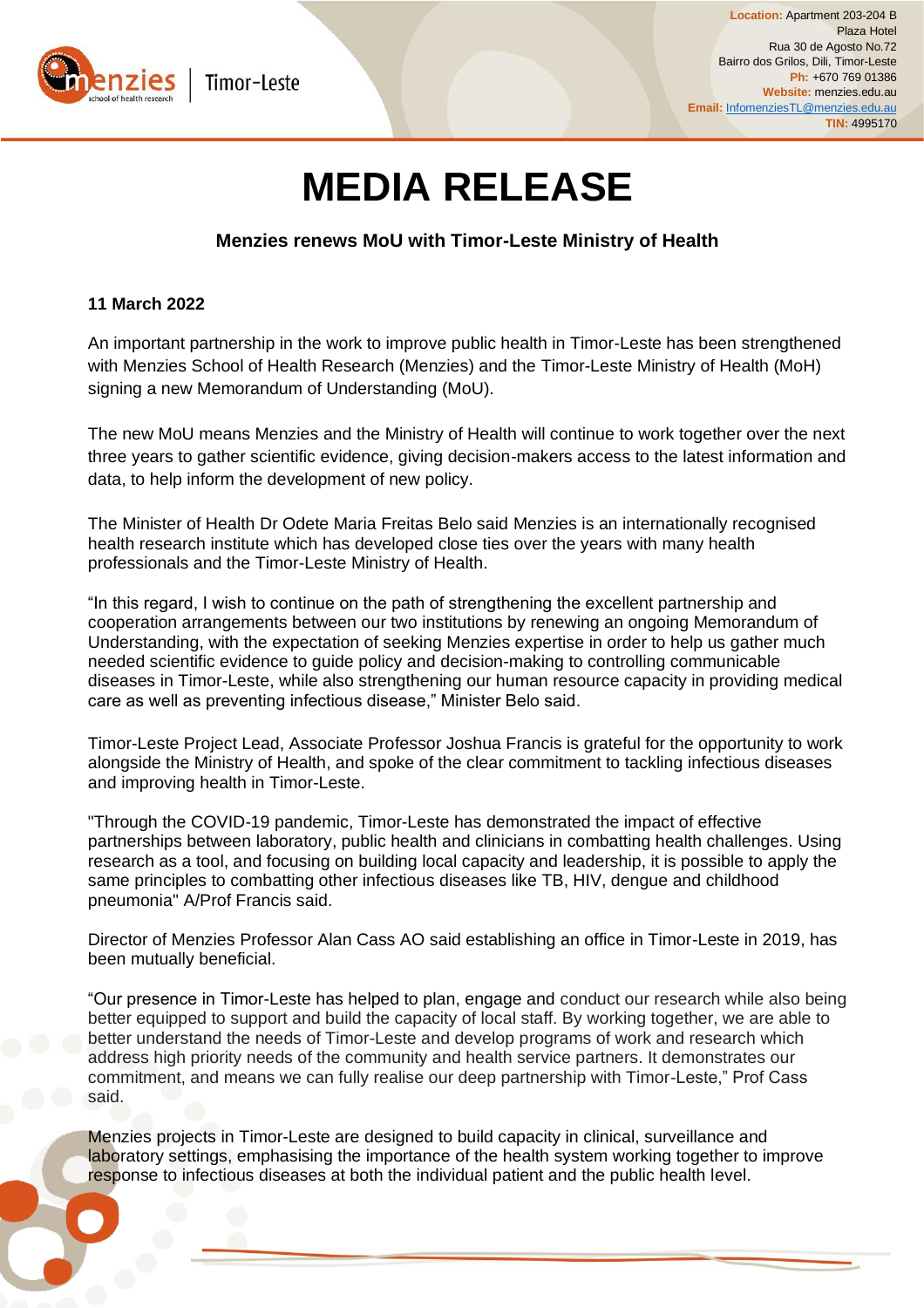

## **MEDIA RELEASE**

**Menzies renews MoU with Timor-Leste Ministry of Health** 

## **11 March 2022**

An important partnership in the work to improve public health in Timor-Leste has been strengthened with Menzies School of Health Research (Menzies) and the Timor-Leste Ministry of Health (MoH) signing a new Memorandum of Understanding (MoU).

The new MoU means Menzies and the Ministry of Health will continue to work together over the next three years to gather scientific evidence, giving decision-makers access to the latest information and data, to help inform the development of new policy.

The Minister of Health Dr Odete Maria Freitas Belo said Menzies is an internationally recognised health research institute which has developed close ties over the years with many health professionals and the Timor-Leste Ministry of Health.

"In this regard, I wish to continue on the path of strengthening the excellent partnership and cooperation arrangements between our two institutions by renewing an ongoing Memorandum of Understanding, with the expectation of seeking Menzies expertise in order to help us gather much needed scientific evidence to guide policy and decision-making to controlling communicable diseases in Timor-Leste, while also strengthening our human resource capacity in providing medical care as well as preventing infectious disease," Minister Belo said.

Timor-Leste Project Lead, Associate Professor Joshua Francis is grateful for the opportunity to work alongside the Ministry of Health, and spoke of the clear commitment to tackling infectious diseases and improving health in Timor-Leste.

"Through the COVID-19 pandemic, Timor-Leste has demonstrated the impact of effective partnerships between laboratory, public health and clinicians in combatting health challenges. Using research as a tool, and focusing on building local capacity and leadership, it is possible to apply the same principles to combatting other infectious diseases like TB, HIV, dengue and childhood pneumonia" A/Prof Francis said.

Director of Menzies Professor Alan Cass AO said establishing an office in Timor-Leste in 2019, has been mutually beneficial.

"Our presence in Timor-Leste has helped to plan, engage and conduct our research while also being better equipped to support and build the capacity of local staff. By working together, we are able to better understand the needs of Timor-Leste and develop programs of work and research which address high priority needs of the community and health service partners. It demonstrates our commitment, and means we can fully realise our deep partnership with Timor-Leste," Prof Cass said.

Menzies projects in Timor-Leste are designed to build capacity in clinical, surveillance and laboratory settings, emphasising the importance of the health system working together to improve response to infectious diseases at both the individual patient and the public health level.